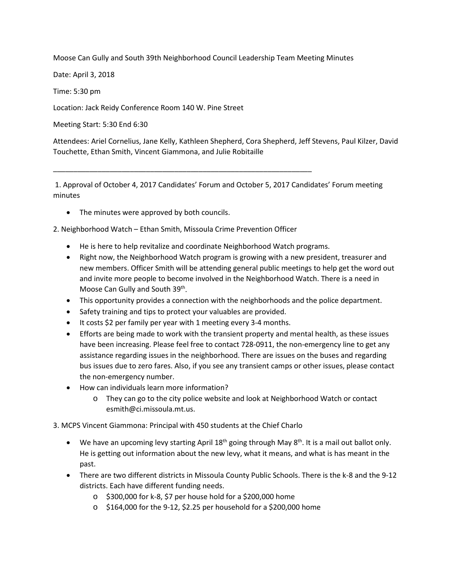Moose Can Gully and South 39th Neighborhood Council Leadership Team Meeting Minutes

Date: April 3, 2018

Time: 5:30 pm

Location: Jack Reidy Conference Room 140 W. Pine Street

Meeting Start: 5:30 End 6:30

Attendees: Ariel Cornelius, Jane Kelly, Kathleen Shepherd, Cora Shepherd, Jeff Stevens, Paul Kilzer, David Touchette, Ethan Smith, Vincent Giammona, and Julie Robitaille

1. Approval of October 4, 2017 Candidates' Forum and October 5, 2017 Candidates' Forum meeting minutes

• The minutes were approved by both councils.

2. Neighborhood Watch – Ethan Smith, Missoula Crime Prevention Officer

\_\_\_\_\_\_\_\_\_\_\_\_\_\_\_\_\_\_\_\_\_\_\_\_\_\_\_\_\_\_\_\_\_\_\_\_\_\_\_\_\_\_\_\_\_\_\_\_\_\_\_\_\_\_\_\_\_\_\_\_\_\_\_\_

- He is here to help revitalize and coordinate Neighborhood Watch programs.
- Right now, the Neighborhood Watch program is growing with a new president, treasurer and new members. Officer Smith will be attending general public meetings to help get the word out and invite more people to become involved in the Neighborhood Watch. There is a need in Moose Can Gully and South 39<sup>th</sup>.
- This opportunity provides a connection with the neighborhoods and the police department.
- Safety training and tips to protect your valuables are provided.
- It costs \$2 per family per year with 1 meeting every 3-4 months.
- Efforts are being made to work with the transient property and mental health, as these issues have been increasing. Please feel free to contact 728-0911, the non-emergency line to get any assistance regarding issues in the neighborhood. There are issues on the buses and regarding bus issues due to zero fares. Also, if you see any transient camps or other issues, please contact the non-emergency number.
- How can individuals learn more information?
	- o They can go to the city police website and look at Neighborhood Watch or contact esmith@ci.missoula.mt.us.

3. MCPS Vincent Giammona: Principal with 450 students at the Chief Charlo

- We have an upcoming levy starting April  $18^{th}$  going through May  $8^{th}$ . It is a mail out ballot only. He is getting out information about the new levy, what it means, and what is has meant in the past.
- There are two different districts in Missoula County Public Schools. There is the k-8 and the 9-12 districts. Each have different funding needs.
	- o \$300,000 for k-8, \$7 per house hold for a \$200,000 home
	- o \$164,000 for the 9-12, \$2.25 per household for a \$200,000 home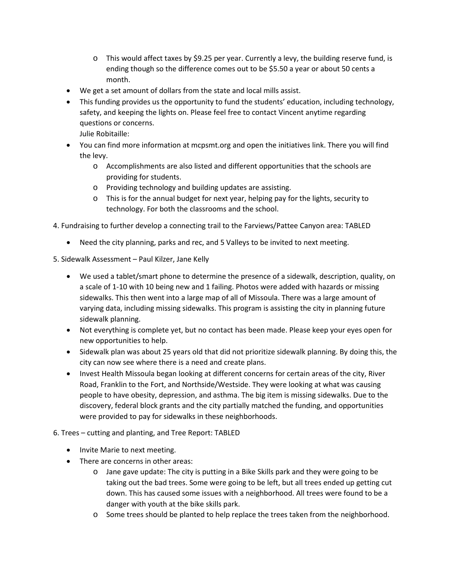- $\circ$  This would affect taxes by \$9.25 per year. Currently a levy, the building reserve fund, is ending though so the difference comes out to be \$5.50 a year or about 50 cents a month.
- We get a set amount of dollars from the state and local mills assist.
- This funding provides us the opportunity to fund the students' education, including technology, safety, and keeping the lights on. Please feel free to contact Vincent anytime regarding questions or concerns.

Julie Robitaille:

- You can find more information at mcpsmt.org and open the initiatives link. There you will find the levy.
	- o Accomplishments are also listed and different opportunities that the schools are providing for students.
	- o Providing technology and building updates are assisting.
	- o This is for the annual budget for next year, helping pay for the lights, security to technology. For both the classrooms and the school.
- 4. Fundraising to further develop a connecting trail to the Farviews/Pattee Canyon area: TABLED
	- Need the city planning, parks and rec, and 5 Valleys to be invited to next meeting.
- 5. Sidewalk Assessment Paul Kilzer, Jane Kelly
	- We used a tablet/smart phone to determine the presence of a sidewalk, description, quality, on a scale of 1-10 with 10 being new and 1 failing. Photos were added with hazards or missing sidewalks. This then went into a large map of all of Missoula. There was a large amount of varying data, including missing sidewalks. This program is assisting the city in planning future sidewalk planning.
	- Not everything is complete yet, but no contact has been made. Please keep your eyes open for new opportunities to help.
	- Sidewalk plan was about 25 years old that did not prioritize sidewalk planning. By doing this, the city can now see where there is a need and create plans.
	- Invest Health Missoula began looking at different concerns for certain areas of the city, River Road, Franklin to the Fort, and Northside/Westside. They were looking at what was causing people to have obesity, depression, and asthma. The big item is missing sidewalks. Due to the discovery, federal block grants and the city partially matched the funding, and opportunities were provided to pay for sidewalks in these neighborhoods.
- 6. Trees cutting and planting, and Tree Report: TABLED
	- Invite Marie to next meeting.
	- There are concerns in other areas:
		- o Jane gave update: The city is putting in a Bike Skills park and they were going to be taking out the bad trees. Some were going to be left, but all trees ended up getting cut down. This has caused some issues with a neighborhood. All trees were found to be a danger with youth at the bike skills park.
		- o Some trees should be planted to help replace the trees taken from the neighborhood.